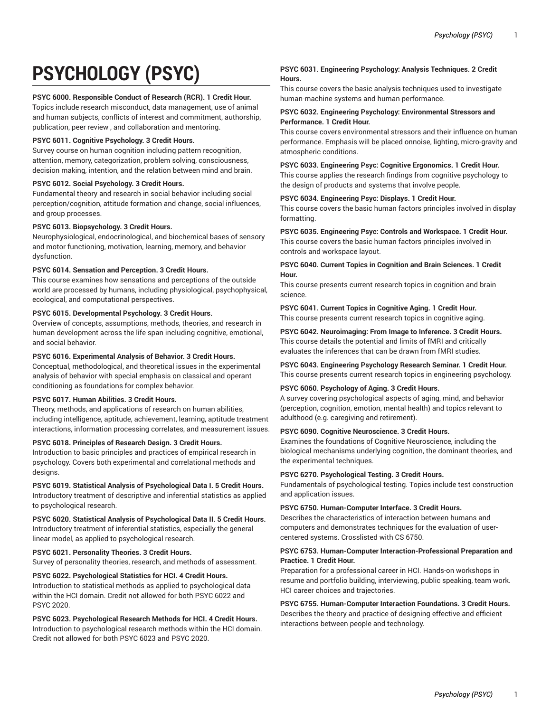# **PSYCHOLOGY (PSYC)**

# **PSYC 6000. Responsible Conduct of Research (RCR). 1 Credit Hour.**

Topics include research misconduct, data management, use of animal and human subjects, conflicts of interest and commitment, authorship, publication, peer review , and collaboration and mentoring.

# **PSYC 6011. Cognitive Psychology. 3 Credit Hours.**

Survey course on human cognition including pattern recognition, attention, memory, categorization, problem solving, consciousness, decision making, intention, and the relation between mind and brain.

# **PSYC 6012. Social Psychology. 3 Credit Hours.**

Fundamental theory and research in social behavior including social perception/cognition, attitude formation and change, social influences, and group processes.

# **PSYC 6013. Biopsychology. 3 Credit Hours.**

Neurophysiological, endocrinological, and biochemical bases of sensory and motor functioning, motivation, learning, memory, and behavior dysfunction.

# **PSYC 6014. Sensation and Perception. 3 Credit Hours.**

This course examines how sensations and perceptions of the outside world are processed by humans, including physiological, psychophysical, ecological, and computational perspectives.

# **PSYC 6015. Developmental Psychology. 3 Credit Hours.**

Overview of concepts, assumptions, methods, theories, and research in human development across the life span including cognitive, emotional, and social behavior.

# **PSYC 6016. Experimental Analysis of Behavior. 3 Credit Hours.**

Conceptual, methodological, and theoretical issues in the experimental analysis of behavior with special emphasis on classical and operant conditioning as foundations for complex behavior.

# **PSYC 6017. Human Abilities. 3 Credit Hours.**

Theory, methods, and applications of research on human abilities, including intelligence, aptitude, achievement, learning, aptitude treatment interactions, information processing correlates, and measurement issues.

## **PSYC 6018. Principles of Research Design. 3 Credit Hours.**

Introduction to basic principles and practices of empirical research in psychology. Covers both experimental and correlational methods and designs.

## **PSYC 6019. Statistical Analysis of Psychological Data I. 5 Credit Hours.**

Introductory treatment of descriptive and inferential statistics as applied to psychological research.

# **PSYC 6020. Statistical Analysis of Psychological Data II. 5 Credit Hours.** Introductory treatment of inferential statistics, especially the general linear model, as applied to psychological research.

# **PSYC 6021. Personality Theories. 3 Credit Hours.**

Survey of personality theories, research, and methods of assessment.

# **PSYC 6022. Psychological Statistics for HCI. 4 Credit Hours.**

Introduction to statistical methods as applied to psychological data within the HCI domain. Credit not allowed for both PSYC 6022 and PSYC 2020.

# **PSYC 6023. Psychological Research Methods for HCI. 4 Credit Hours.** Introduction to psychological research methods within the HCI domain. Credit not allowed for both PSYC 6023 and PSYC 2020.

# **PSYC 6031. Engineering Psychology: Analysis Techniques. 2 Credit Hours.**

This course covers the basic analysis techniques used to investigate human-machine systems and human performance.

# **PSYC 6032. Engineering Psychology: Environmental Stressors and Performance. 1 Credit Hour.**

This course covers environmental stressors and their influence on human performance. Emphasis will be placed onnoise, lighting, micro-gravity and atmospheric conditions.

# **PSYC 6033. Engineering Psyc: Cognitive Ergonomics. 1 Credit Hour.**

This course applies the research findings from cognitive psychology to the design of products and systems that involve people.

# **PSYC 6034. Engineering Psyc: Displays. 1 Credit Hour.**

This course covers the basic human factors principles involved in display formatting.

**PSYC 6035. Engineering Psyc: Controls and Workspace. 1 Credit Hour.** This course covers the basic human factors principles involved in controls and workspace layout.

# **PSYC 6040. Current Topics in Cognition and Brain Sciences. 1 Credit Hour.**

This course presents current research topics in cognition and brain science.

# **PSYC 6041. Current Topics in Cognitive Aging. 1 Credit Hour.**

This course presents current research topics in cognitive aging.

# **PSYC 6042. Neuroimaging: From Image to Inference. 3 Credit Hours.** This course details the potential and limits of fMRI and critically

evaluates the inferences that can be drawn from fMRI studies.

# **PSYC 6043. Engineering Psychology Research Seminar. 1 Credit Hour.**

This course presents current research topics in engineering psychology.

# **PSYC 6060. Psychology of Aging. 3 Credit Hours.**

A survey covering psychological aspects of aging, mind, and behavior (perception, cognition, emotion, mental health) and topics relevant to adulthood (e.g. caregiving and retirement).

# **PSYC 6090. Cognitive Neuroscience. 3 Credit Hours.**

Examines the foundations of Cognitive Neuroscience, including the biological mechanisms underlying cognition, the dominant theories, and the experimental techniques.

## **PSYC 6270. Psychological Testing. 3 Credit Hours.**

Fundamentals of psychological testing. Topics include test construction and application issues.

# **PSYC 6750. Human-Computer Interface. 3 Credit Hours.**

Describes the characteristics of interaction between humans and computers and demonstrates techniques for the evaluation of usercentered systems. Crosslisted with CS 6750.

## **PSYC 6753. Human-Computer Interaction-Professional Preparation and Practice. 1 Credit Hour.**

Preparation for a professional career in HCI. Hands-on workshops in resume and portfolio building, interviewing, public speaking, team work. HCI career choices and trajectories.

# **PSYC 6755. Human-Computer Interaction Foundations. 3 Credit Hours.** Describes the theory and practice of designing effective and efficient interactions between people and technology.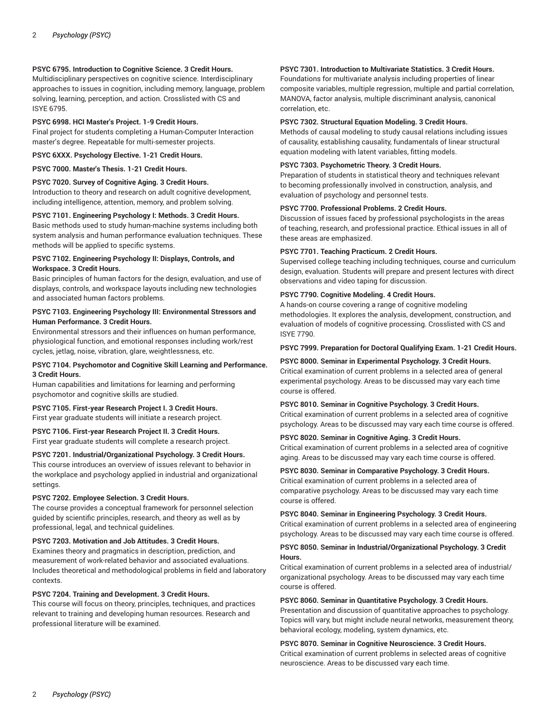# **PSYC 6795. Introduction to Cognitive Science. 3 Credit Hours.**

Multidisciplinary perspectives on cognitive science. Interdisciplinary approaches to issues in cognition, including memory, language, problem solving, learning, perception, and action. Crosslisted with CS and ISYE 6795.

# **PSYC 6998. HCI Master's Project. 1-9 Credit Hours.**

Final project for students completing a Human-Computer Interaction master's degree. Repeatable for multi-semester projects.

**PSYC 6XXX. Psychology Elective. 1-21 Credit Hours.**

# **PSYC 7000. Master's Thesis. 1-21 Credit Hours.**

#### **PSYC 7020. Survey of Cognitive Aging. 3 Credit Hours.**

Introduction to theory and research on adult cognitive development, including intelligence, attention, memory, and problem solving.

#### **PSYC 7101. Engineering Psychology I: Methods. 3 Credit Hours.**

Basic methods used to study human-machine systems including both system analysis and human performance evaluation techniques. These methods will be applied to specific systems.

#### **PSYC 7102. Engineering Psychology II: Displays, Controls, and Workspace. 3 Credit Hours.**

Basic principles of human factors for the design, evaluation, and use of displays, controls, and workspace layouts including new technologies and associated human factors problems.

# **PSYC 7103. Engineering Psychology III: Environmental Stressors and Human Performance. 3 Credit Hours.**

Environmental stressors and their influences on human performance, physiological function, and emotional responses including work/rest cycles, jetlag, noise, vibration, glare, weightlessness, etc.

# **PSYC 7104. Psychomotor and Cognitive Skill Learning and Performance. 3 Credit Hours.**

Human capabilities and limitations for learning and performing psychomotor and cognitive skills are studied.

## **PSYC 7105. First-year Research Project I. 3 Credit Hours.**

First year graduate students will initiate a research project.

## **PSYC 7106. First-year Research Project II. 3 Credit Hours.**

First year graduate students will complete a research project.

# **PSYC 7201. Industrial/Organizational Psychology. 3 Credit Hours.**

This course introduces an overview of issues relevant to behavior in the workplace and psychology applied in industrial and organizational settings.

#### **PSYC 7202. Employee Selection. 3 Credit Hours.**

The course provides a conceptual framework for personnel selection guided by scientific principles, research, and theory as well as by professional, legal, and technical guidelines.

#### **PSYC 7203. Motivation and Job Attitudes. 3 Credit Hours.**

Examines theory and pragmatics in description, prediction, and measurement of work-related behavior and associated evaluations. Includes theoretical and methodological problems in field and laboratory contexts.

## **PSYC 7204. Training and Development. 3 Credit Hours.**

This course will focus on theory, principles, techniques, and practices relevant to training and developing human resources. Research and professional literature will be examined.

# **PSYC 7301. Introduction to Multivariate Statistics. 3 Credit Hours.**

Foundations for multivariate analysis including properties of linear composite variables, multiple regression, multiple and partial correlation, MANOVA, factor analysis, multiple discriminant analysis, canonical correlation, etc.

# **PSYC 7302. Structural Equation Modeling. 3 Credit Hours.**

Methods of causal modeling to study causal relations including issues of causality, establishing causality, fundamentals of linear structural equation modeling with latent variables, fitting models.

## **PSYC 7303. Psychometric Theory. 3 Credit Hours.**

Preparation of students in statistical theory and techniques relevant to becoming professionally involved in construction, analysis, and evaluation of psychology and personnel tests.

## **PSYC 7700. Professional Problems. 2 Credit Hours.**

Discussion of issues faced by professional psychologists in the areas of teaching, research, and professional practice. Ethical issues in all of these areas are emphasized.

## **PSYC 7701. Teaching Practicum. 2 Credit Hours.**

Supervised college teaching including techniques, course and curriculum design, evaluation. Students will prepare and present lectures with direct observations and video taping for discussion.

#### **PSYC 7790. Cognitive Modeling. 4 Credit Hours.**

A hands-on course covering a range of cognitive modeling methodologies. It explores the analysis, development, construction, and evaluation of models of cognitive processing. Crosslisted with CS and ISYE 7790.

#### **PSYC 7999. Preparation for Doctoral Qualifying Exam. 1-21 Credit Hours.**

**PSYC 8000. Seminar in Experimental Psychology. 3 Credit Hours.** Critical examination of current problems in a selected area of general experimental psychology. Areas to be discussed may vary each time course is offered.

## **PSYC 8010. Seminar in Cognitive Psychology. 3 Credit Hours.**

Critical examination of current problems in a selected area of cognitive psychology. Areas to be discussed may vary each time course is offered.

## **PSYC 8020. Seminar in Cognitive Aging. 3 Credit Hours.**

Critical examination of current problems in a selected area of cognitive aging. Areas to be discussed may vary each time course is offered.

## **PSYC 8030. Seminar in Comparative Psychology. 3 Credit Hours.**

Critical examination of current problems in a selected area of comparative psychology. Areas to be discussed may vary each time course is offered.

#### **PSYC 8040. Seminar in Engineering Psychology. 3 Credit Hours.**

Critical examination of current problems in a selected area of engineering psychology. Areas to be discussed may vary each time course is offered.

## **PSYC 8050. Seminar in Industrial/Organizational Psychology. 3 Credit Hours.**

Critical examination of current problems in a selected area of industrial/ organizational psychology. Areas to be discussed may vary each time course is offered.

#### **PSYC 8060. Seminar in Quantitative Psychology. 3 Credit Hours.**

Presentation and discussion of quantitative approaches to psychology. Topics will vary, but might include neural networks, measurement theory, behavioral ecology, modeling, system dynamics, etc.

#### **PSYC 8070. Seminar in Cognitive Neuroscience. 3 Credit Hours.**

Critical examination of current problems in selected areas of cognitive neuroscience. Areas to be discussed vary each time.